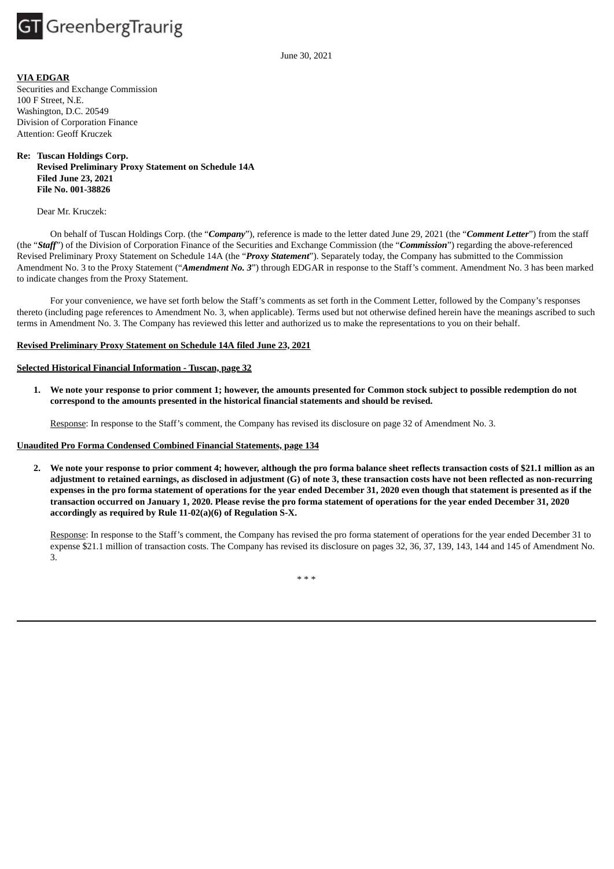

June 30, 2021

## **VIA EDGAR**

Securities and Exchange Commission 100 F Street, N.E. Washington, D.C. 20549 Division of Corporation Finance Attention: Geoff Kruczek

## **Re: Tuscan Holdings Corp. Revised Preliminary Proxy Statement on Schedule 14A Filed June 23, 2021 File No. 001-38826**

Dear Mr. Kruczek:

On behalf of Tuscan Holdings Corp. (the "*Company*"), reference is made to the letter dated June 29, 2021 (the "*Comment Letter*") from the staff (the "*Staff*") of the Division of Corporation Finance of the Securities and Exchange Commission (the "*Commission*") regarding the above-referenced Revised Preliminary Proxy Statement on Schedule 14A (the "*Proxy Statement*"). Separately today, the Company has submitted to the Commission Amendment No. 3 to the Proxy Statement ("*Amendment No. 3*") through EDGAR in response to the Staff's comment. Amendment No. 3 has been marked to indicate changes from the Proxy Statement.

For your convenience, we have set forth below the Staff's comments as set forth in the Comment Letter, followed by the Company's responses thereto (including page references to Amendment No. 3, when applicable). Terms used but not otherwise defined herein have the meanings ascribed to such terms in Amendment No. 3. The Company has reviewed this letter and authorized us to make the representations to you on their behalf.

#### **Revised Preliminary Proxy Statement on Schedule 14A filed June 23, 2021**

## **Selected Historical Financial Information - Tuscan, page 32**

1. We note your response to prior comment 1; however, the amounts presented for Common stock subject to possible redemption do not **correspond to the amounts presented in the historical financial statements and should be revised.**

Response: In response to the Staff's comment, the Company has revised its disclosure on page 32 of Amendment No. 3.

# **Unaudited Pro Forma Condensed Combined Financial Statements, page 134**

2. We note your response to prior comment 4; however, although the pro forma balance sheet reflects transaction costs of \$21.1 million as an adjustment to retained earnings, as disclosed in adjustment (G) of note 3, these transaction costs have not been reflected as non-recurring expenses in the pro forma statement of operations for the year ended December 31, 2020 even though that statement is presented as if the transaction occurred on January 1, 2020. Please revise the pro forma statement of operations for the year ended December 31, 2020 **accordingly as required by Rule 11-02(a)(6) of Regulation S-X.**

Response: In response to the Staff's comment, the Company has revised the pro forma statement of operations for the year ended December 31 to expense \$21.1 million of transaction costs. The Company has revised its disclosure on pages 32, 36, 37, 139, 143, 144 and 145 of Amendment No. 3.

\* \* \*